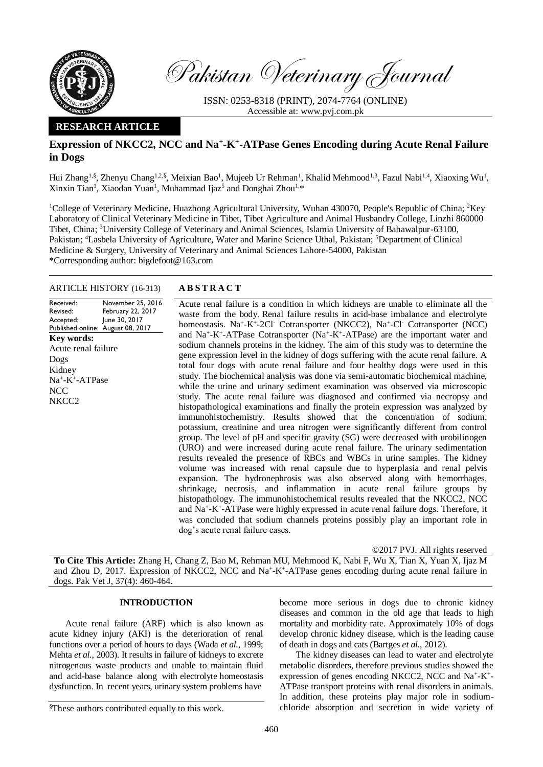

Pakistan Veterinary Journal

ISSN: 0253-8318 (PRINT), 2074-7764 (ONLINE) Accessible at: [www.pvj.com.pk](http://www.pvj.com.pk/)

# **RESEARCH ARTICLE**

# Expression of NKCC2, NCC and Na<sup>+</sup>-K<sup>+</sup>-ATPase Genes Encoding during Acute Renal Failure **in Dogs**

Hui Zhang<sup>1,§</sup>, Zhenyu Chang<sup>1,2,§</sup>, Meixian Bao<sup>1</sup>, Mujeeb Ur Rehman<sup>1</sup>, Khalid Mehmood<sup>1,3</sup>, Fazul Nabi<sup>1,4</sup>, Xiaoxing Wu<sup>1</sup>, Xinxin Tian<sup>1</sup>, Xiaodan Yuan<sup>1</sup>, Muhammad Ijaz<sup>5</sup> and Donghai Zhou<sup>1,\*</sup>

<sup>1</sup>College of Veterinary Medicine, Huazhong Agricultural University, Wuhan 430070, People's Republic of China; <sup>2</sup>Key Laboratory of Clinical Veterinary Medicine in Tibet, Tibet Agriculture and Animal Husbandry College, Linzhi 860000 Tibet, China; <sup>3</sup>University College of Veterinary and Animal Sciences, Islamia University of Bahawalpur-63100, Pakistan; <sup>4</sup>Lasbela University of Agriculture, Water and Marine Science Uthal, Pakistan; <sup>5</sup>Department of Clinical Medicine & Surgery, University of Veterinary and Animal Sciences Lahore-54000, Pakistan \*Corresponding author: bigdefoot@163.com

## ARTICLE HISTORY (16-313) **A B S T R A C T**

Received: Revised: Accepted: Published online: August 08, 2017 November 25, 2016 February 22, 2017 June 30, 2017 **Key words:**  Acute renal failure Dogs Kidney Na<sup>+</sup>-K<sup>+</sup>-ATPase NCC NKCC2

Acute renal failure is a condition in which kidneys are unable to eliminate all the waste from the body. Renal failure results in acid-base imbalance and electrolyte homeostasis. Na<sup>+</sup>-K<sup>+</sup>-2Cl<sup>-</sup> Cotransporter (NKCC2), Na<sup>+</sup>-Cl<sup>-</sup> Cotransporter (NCC) and Na<sup>+</sup>-K<sup>+</sup>-ATPase Cotransporter (Na<sup>+</sup>-K<sup>+</sup>-ATPase) are the important water and sodium channels proteins in the kidney. The aim of this study was to determine the gene expression level in the kidney of dogs suffering with the acute renal failure. A total four dogs with acute renal failure and four healthy dogs were used in this study. The biochemical analysis was done via semi-automatic biochemical machine, while the urine and urinary sediment examination was observed via microscopic study. The acute renal failure was diagnosed and confirmed via necropsy and histopathological examinations and finally the protein expression was analyzed by immunohistochemistry. Results showed that the concentration of sodium, potassium, creatinine and urea nitrogen were significantly different from control group. The level of pH and specific gravity (SG) were decreased with urobilinogen (URO) and were increased during acute renal failure. The urinary sedimentation results revealed the presence of RBCs and WBCs in urine samples. The kidney volume was increased with renal capsule due to hyperplasia and renal pelvis expansion. The hydronephrosis was also observed along with hemorrhages, shrinkage, necrosis, and inflammation in acute renal failure groups by histopathology. The immunohistochemical results revealed that the NKCC2, NCC and Na<sup>+</sup> -K<sup>+</sup> -ATPase were highly expressed in acute renal failure dogs. Therefore, it was concluded that sodium channels proteins possibly play an important role in dog's acute renal failure cases.

©2017 PVJ. All rights reserved

**To Cite This Article:** Zhang H, Chang Z, Bao M, Rehman MU, Mehmood K, Nabi F, Wu X, Tian X, Yuan X, Ijaz M and Zhou D, 2017. Expression of NKCC2, NCC and Na<sup>+</sup>-K<sup>+</sup>-ATPase genes encoding during acute renal failure in dogs. Pak Vet J, 37(4): 460-464.

## **INTRODUCTION**

Acute renal failure (ARF) which is also known as acute kidney injury (AKI) is the deterioration of renal functions over a period of hours to days (Wada *et al.*, 1999; Mehta *et al.*, 2003). It results in failure of kidneys to excrete nitrogenous waste products and unable to maintain fluid and acid-base balance along with electrolyte homeostasis dysfunction. In recent years, urinary system problems have

become more serious in dogs due to chronic kidney diseases and common in the old age that leads to high mortality and morbidity rate. Approximately 10% of dogs develop chronic kidney disease, which is the leading cause of death in dogs and cats (Bartges *et al.*, 2012).

The kidney diseases can lead to water and electrolyte metabolic disorders, therefore previous studies showed the expression of genes encoding NKCC2, NCC and Na<sup>+</sup>-K<sup>+</sup>-ATPase transport proteins with renal disorders in animals. In addition, these proteins play major role in sodiumchloride absorption and secretion in wide variety of

<sup>§</sup>These authors contributed equally to this work.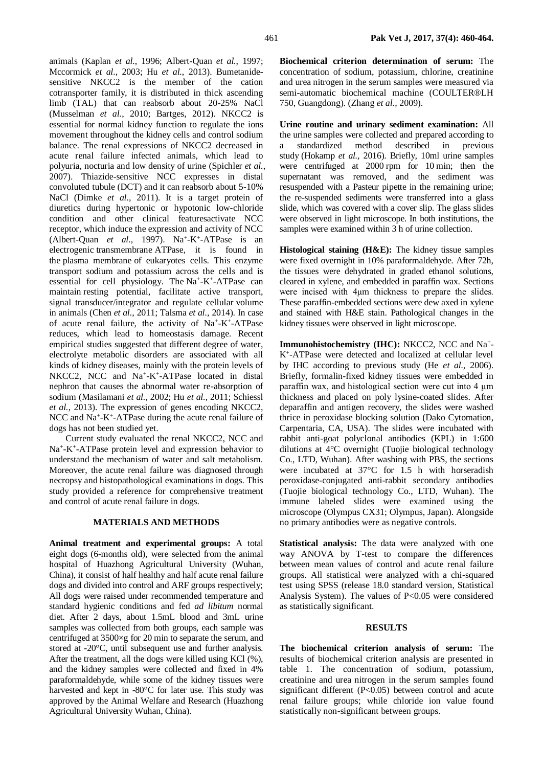animals (Kaplan *et al.*, 1996; Albert-Quan *et al.*, 1997; Mccormick *et al.*, 2003; Hu *et al.*, 2013). Bumetanidesensitive NKCC2 is the member of the cation cotransporter family, it is distributed in thick ascending limb (TAL) that can reabsorb about 20-25% NaCl (Musselman *et al.*, 2010; Bartges, 2012). NKCC2 is essential for normal kidney function to regulate the ions movement throughout the kidney cells and control sodium balance. The renal expressions of NKCC2 decreased in acute renal failure infected animals, which lead to polyuria, nocturia and low density of urine (Spichler *et al.*, 2007). Thiazide-sensitive NCC expresses in distal convoluted tubule (DCT) and it can reabsorb about 5-10% NaCl (Dimke *et al.*, 2011). It is a target protein of diuretics during hypertonic or hypotonic low-chloride condition and other clinical featuresactivate NCC receptor, which induce the expression and activity of NCC (Albert-Quan *et al.*, 1997). Na<sup>+</sup>-K<sup>+</sup>-ATPase is an electrogenic transmembrane ATPase, it is found in the plasma membrane of eukaryotes cells. This enzyme transport sodium and potassium across the cells and is essential for cell physiology. The Na<sup>+</sup>-K<sup>+</sup>-ATPase can maintain resting potential, facilitate active transport, signal transducer/integrator and regulate cellular volume in animals (Chen *et al.*, 2011; Talsma *et al.*, 2014). In case of acute renal failure, the activity of Na<sup>+</sup>-K<sup>+</sup>-ATPase reduces, which lead to homeostasis damage. Recent empirical studies suggested that different degree of water, electrolyte metabolic disorders are associated with all kinds of kidney diseases, mainly with the protein levels of NKCC2, NCC and Na<sup>+</sup>-K<sup>+</sup>-ATPase located in distal nephron that causes the abnormal water re-absorption of sodium (Masilamani *et al.*, 2002; Hu *et al.*, 2011; Schiessl *et al.*, 2013). The expression of genes encoding NKCC2, NCC and Na<sup>+</sup>-K<sup>+</sup>-ATPase during the acute renal failure of dogs has not been studied yet.

Current study evaluated the renal NKCC2, NCC and Na<sup>+</sup>-K<sup>+</sup>-ATPase protein level and expression behavior to understand the mechanism of water and salt metabolism. Moreover, the acute renal failure was diagnosed through necropsy and histopathological examinations in dogs. This study provided a reference for comprehensive treatment and control of acute renal failure in dogs.

# **MATERIALS AND METHODS**

**Animal treatment and experimental groups:** A total eight dogs (6-months old), were selected from the animal hospital of Huazhong Agricultural University (Wuhan, China), it consist of half healthy and half acute renal failure dogs and divided into control and ARF groups respectively; All dogs were raised under recommended temperature and standard hygienic conditions and fed *ad libitum* normal diet. After 2 days, about 1.5mL blood and 3mL urine samples was collected from both groups, each sample was centrifuged at 3500×g for 20 min to separate the serum, and stored at -20°C, until subsequent use and further analysis. After the treatment, all the dogs were killed using KCl (%), and the kidney samples were collected and fixed in 4% paraformaldehyde, while some of the kidney tissues were harvested and kept in -80°C for later use. This study was approved by the Animal Welfare and Research (Huazhong Agricultural University Wuhan, China).

**Biochemical criterion determination of serum:** The concentration of sodium, potassium, chlorine, creatinine and urea nitrogen in the serum samples were measured via semi-automatic biochemical machine (COULTER®LH 750, Guangdong). (Zhang *et al.,* 2009).

**Urine routine and urinary sediment examination:** All the urine samples were collected and prepared according to a standardized method described in previous study (Hokamp *et al.,* 2016). Briefly, 10ml urine samples were centrifuged at 2000 rpm for 10 min; then the supernatant was removed, and the sediment was resuspended with a Pasteur pipette in the remaining urine; the re-suspended sediments were transferred into a glass slide, which was covered with a cover slip. The glass slides were observed in light microscope. In both institutions, the samples were examined within 3 h of urine collection.

**Histological staining (H&E):** The kidney tissue samples were fixed overnight in 10% paraformaldehyde. After 72h, the tissues were dehydrated in graded ethanol solutions, cleared in xylene, and embedded in paraffin wax. Sections were incised with 4μm thickness to prepare the slides. These paraffin-embedded sections were dew axed in xylene and stained with H&E stain. Pathological changes in the kidney tissues were observed in light microscope.

Immunohistochemistry (IHC): NKCC2, NCC and Na<sup>+</sup>-K<sup>+</sup> -ATPase were detected and localized at cellular level by IHC according to previous study (He *et al.*, 2006). Briefly, formalin-fixed kidney tissues were embedded in paraffin wax, and histological section were cut into 4 μm thickness and placed on poly lysine-coated slides. After deparaffin and antigen recovery, the slides were washed thrice in peroxidase blocking solution (Dako Cytomation, Carpentaria, CA, USA). The slides were incubated with rabbit anti-goat polyclonal antibodies (KPL) in 1:600 dilutions at 4°C overnight (Tuojie biological technology Co., LTD, Wuhan). After washing with PBS, the sections were incubated at 37°C for 1.5 h with horseradish peroxidase-conjugated anti-rabbit secondary antibodies (Tuojie biological technology Co., LTD, Wuhan). The immune labeled slides were examined using the microscope (Olympus CX31; Olympus, Japan). Alongside no primary antibodies were as negative controls.

**Statistical analysis:** The data were analyzed with one way ANOVA by T-test to compare the differences between mean values of control and acute renal failure groups. All statistical were analyzed with a chi-squared test using SPSS (release 18.0 standard version, Statistical Analysis System). The values of P<0.05 were considered as statistically significant.

## **RESULTS**

**The biochemical criterion analysis of serum:** The results of biochemical criterion analysis are presented in table 1. The concentration of sodium, potassium, creatinine and urea nitrogen in the serum samples found significant different (P<0.05) between control and acute renal failure groups; while chloride ion value found statistically non-significant between groups.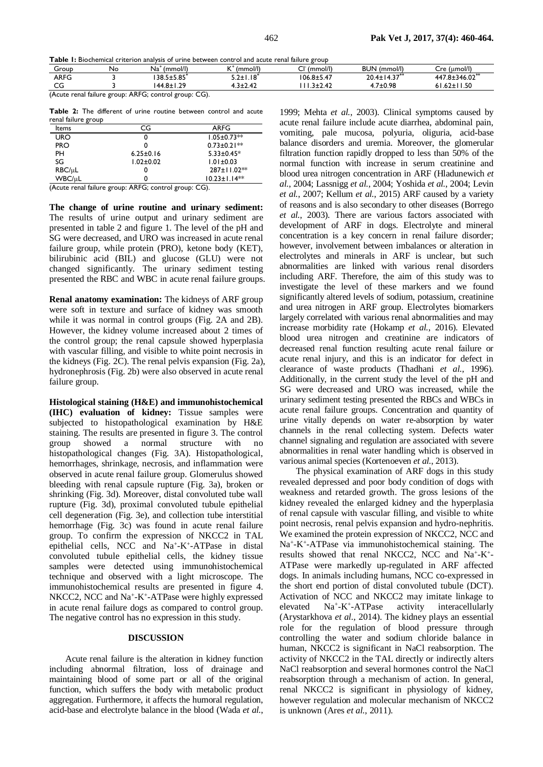**Table 1:** Biochemical criterion analysis of urine between control and acute renal failure group

| Group    | Nc | (mmol/l)<br>Na | (mmol/l)<br>$\sqrt{ }$ | (mmol/l)<br>$\sim$                               | (mmol/l)<br><b>BUN</b>               | (umol/l)<br>Cre            |
|----------|----|----------------|------------------------|--------------------------------------------------|--------------------------------------|----------------------------|
| ARFG     |    | 138.5±5.85`    | 5.2±1.18               | $106.8 + 5.47$                                   | 14.37'''<br>20.4 <sub>±</sub><br>1.J | 447.8±346.02 <sup>**</sup> |
| ~~<br>Uu |    | າດ<br>$44.8 +$ | . २+२ ४२<br>.          | $\mathbf{4}^{\mathsf{-}}$<br><b></b><br><u>_</u> | .7±0.98                              | ח זו<br>$.67 +$ '<br>טע.ו  |

(Acute renal failure group: ARFG; control group: CG).

**Table 2:** The different of urine routine between control and acute renal failure group

| Items      | CG              | ARFG               |
|------------|-----------------|--------------------|
| <b>URO</b> |                 | $1.05 \pm 0.73**$  |
| <b>PRO</b> |                 | $0.73 \pm 0.21$ ** |
| PH         | $6.25 \pm 0.16$ | $5.33 \pm 0.45*$   |
| SG         | $1.02 \pm 0.02$ | $1.01 \pm 0.03$    |
| RBC/µL     | O               | $287 \pm 11.02**$  |
| WBC/uL     |                 | $10.23 \pm 1.14**$ |

(Acute renal failure group: ARFG; control group: CG).

**The change of urine routine and urinary sediment:**  The results of urine output and urinary sediment are presented in table 2 and figure 1. The level of the pH and SG were decreased, and URO was increased in acute renal failure group, while protein (PRO), ketone body (KET), bilirubinic acid (BIL) and glucose (GLU) were not changed significantly. The urinary sediment testing presented the RBC and WBC in acute renal failure groups.

**Renal anatomy examination:** The kidneys of ARF group were soft in texture and surface of kidney was smooth while it was normal in control groups (Fig. 2A and 2B). However, the kidney volume increased about 2 times of the control group; the renal capsule showed hyperplasia with vascular filling, and visible to white point necrosis in the kidneys (Fig. 2C). The renal pelvis expansion (Fig. 2a), hydronephrosis (Fig. 2b) were also observed in acute renal failure group.

**Histological staining (H&E) and immunohistochemical (IHC) evaluation of kidney:** Tissue samples were subjected to histopathological examination by H&E staining. The results are presented in figure 3. The control<br>group showed a normal structure with no group showed a normal structure with no histopathological changes (Fig. 3A). Histopathological, hemorrhages, shrinkage, necrosis, and inflammation were observed in acute renal failure group. Glomerulus showed bleeding with renal capsule rupture (Fig. 3a), broken or shrinking (Fig. 3d). Moreover, distal convoluted tube wall rupture (Fig. 3d), proximal convoluted tubule epithelial cell degeneration (Fig. 3e), and collection tube interstitial hemorrhage (Fig. 3c) was found in acute renal failure group. To confirm the expression of NKCC2 in TAL epithelial cells, NCC and Na<sup>+</sup>-K<sup>+</sup>-ATPase in distal convoluted tubule epithelial cells, the kidney tissue samples were detected using immunohistochemical technique and observed with a light microscope. The immunohistochemical results are presented in figure 4. NKCC2, NCC and Na<sup>+</sup>-K<sup>+</sup>-ATPase were highly expressed in acute renal failure dogs as compared to control group. The negative control has no expression in this study.

### **DISCUSSION**

Acute renal failure is the alteration in kidney function including abnormal filtration, loss of drainage and maintaining blood of some part or all of the original function, which suffers the body with metabolic product aggregation. Furthermore, it affects the humoral regulation, acid-base and electrolyte balance in the blood (Wada *et al.*,

1999; Mehta *et al.*, 2003). Clinical symptoms caused by acute renal failure include acute diarrhea, abdominal pain, vomiting, pale mucosa, polyuria, oliguria, acid-base balance disorders and uremia. Moreover, the glomerular filtration function rapidly dropped to less than 50% of the normal function with increase in serum creatinine and blood urea nitrogen concentration in ARF (Hladunewich *et al.*, 2004; Lassnigg *et al.*, 2004; Yoshida *et al.*, 2004; Levin *et al.*, 2007; Kellum *et al.*, 2015) ARF caused by a variety of reasons and is also secondary to other diseases (Borrego *et al.*, 2003). There are various factors associated with development of ARF in dogs. Electrolyte and mineral concentration is a key concern in renal failure disorder; however, involvement between imbalances or alteration in electrolytes and minerals in ARF is unclear, but such abnormalities are linked with various renal disorders including ARF. Therefore, the aim of this study was to investigate the level of these markers and we found significantly altered levels of sodium, potassium, creatinine and urea nitrogen in ARF group. Electrolytes biomarkers largely correlated with various renal abnormalities and may increase morbidity rate (Hokamp *et al.*, 2016). Elevated blood urea nitrogen and creatinine are indicators of decreased renal function resulting acute renal failure or acute renal injury, and this is an indicator for defect in clearance of waste products (Thadhani *et al.*, 1996). Additionally, in the current study the level of the pH and SG were decreased and URO was increased, while the urinary sediment testing presented the RBCs and WBCs in acute renal failure groups. Concentration and quantity of urine vitally depends on water re-absorption by water channels in the renal collecting system. Defects water channel signaling and regulation are associated with severe abnormalities in renal water handling which is observed in various animal species (Kortenoeven *et al.*, 2013).

The physical examination of ARF dogs in this study revealed depressed and poor body condition of dogs with weakness and retarded growth. The gross lesions of the kidney revealed the enlarged kidney and the hyperplasia of renal capsule with vascular filling, and visible to white point necrosis, renal pelvis expansion and hydro-nephritis. We examined the protein expression of NKCC2, NCC and Na<sup>+</sup>-K<sup>+</sup>-ATPase via immunohistochemical staining. The results showed that renal NKCC2, NCC and Na<sup>+</sup>-K<sup>+</sup>-ATPase were markedly up-regulated in ARF affected dogs. In animals including humans, NCC co-expressed in the short end portion of distal convoluted tubule (DCT). Activation of NCC and NKCC2 may imitate linkage to elevated Na<sup>+</sup>-K<sup>+</sup>-ATPase activity interacellularly (Arystarkhova *et al.*, 2014). The kidney plays an essential role for the regulation of blood pressure through controlling the water and sodium chloride balance in human, NKCC2 is significant in NaCl reabsorption. The activity of NKCC2 in the TAL directly or indirectly alters NaCl reabsorption and several hormones control the NaCl reabsorption through a mechanism of action. In general, renal NKCC2 is significant in physiology of kidney, however regulation and molecular mechanism of NKCC2 is unknown (Ares *et al.*, 2011).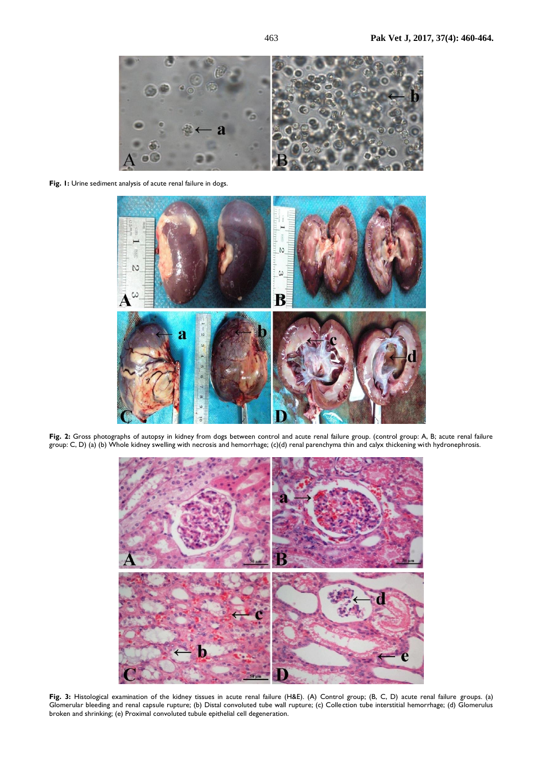

**Fig. 1:** Urine sediment analysis of acute renal failure in dogs.



**Fig. 2:** Gross photographs of autopsy in kidney from dogs between control and acute renal failure group. (control group: A, B; acute renal failure group: C, D) (a) (b) Whole kidney swelling with necrosis and hemorrhage; (c)(d) renal parenchyma thin and calyx thickening with hydronephrosis.



**Fig. 3:** Histological examination of the kidney tissues in acute renal failure (H&E). (A) Control group; (B, C, D) acute renal failure groups. (a) Glomerular bleeding and renal capsule rupture; (b) Distal convoluted tube wall rupture; (c) Colle ction tube interstitial hemorrhage; (d) Glomerulus broken and shrinking; (e) Proximal convoluted tubule epithelial cell degeneration.